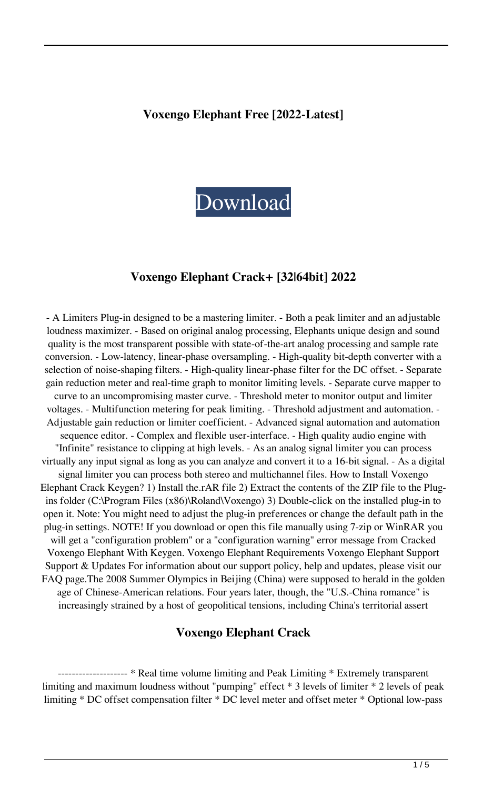#### **Voxengo Elephant Free [2022-Latest]**



### **Voxengo Elephant Crack+ [32|64bit] 2022**

- A Limiters Plug-in designed to be a mastering limiter. - Both a peak limiter and an adjustable loudness maximizer. - Based on original analog processing, Elephants unique design and sound quality is the most transparent possible with state-of-the-art analog processing and sample rate conversion. - Low-latency, linear-phase oversampling. - High-quality bit-depth converter with a selection of noise-shaping filters. - High-quality linear-phase filter for the DC offset. - Separate gain reduction meter and real-time graph to monitor limiting levels. - Separate curve mapper to curve to an uncompromising master curve. - Threshold meter to monitor output and limiter voltages. - Multifunction metering for peak limiting. - Threshold adjustment and automation. - Adjustable gain reduction or limiter coefficient. - Advanced signal automation and automation sequence editor. - Complex and flexible user-interface. - High quality audio engine with "Infinite" resistance to clipping at high levels. - As an analog signal limiter you can process virtually any input signal as long as you can analyze and convert it to a 16-bit signal. - As a digital signal limiter you can process both stereo and multichannel files. How to Install Voxengo Elephant Crack Keygen? 1) Install the.rAR file 2) Extract the contents of the ZIP file to the Plugins folder (C:\Program Files (x86)\Roland\Voxengo) 3) Double-click on the installed plug-in to open it. Note: You might need to adjust the plug-in preferences or change the default path in the plug-in settings. NOTE! If you download or open this file manually using 7-zip or WinRAR you will get a "configuration problem" or a "configuration warning" error message from Cracked Voxengo Elephant With Keygen. Voxengo Elephant Requirements Voxengo Elephant Support Support & Updates For information about our support policy, help and updates, please visit our FAQ page.The 2008 Summer Olympics in Beijing (China) were supposed to herald in the golden age of Chinese-American relations. Four years later, though, the "U.S.-China romance" is increasingly strained by a host of geopolitical tensions, including China's territorial assert

#### **Voxengo Elephant Crack**

-------------------- \* Real time volume limiting and Peak Limiting \* Extremely transparent limiting and maximum loudness without "pumping" effect \* 3 levels of limiter \* 2 levels of peak limiting \* DC offset compensation filter \* DC level meter and offset meter \* Optional low-pass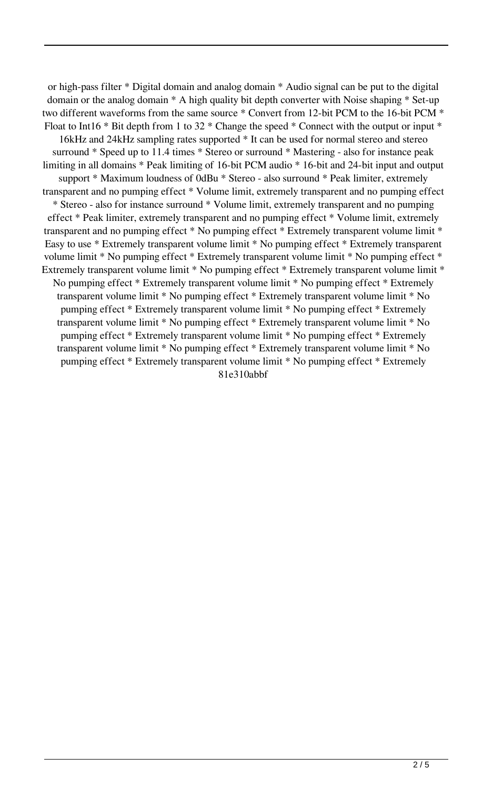or high-pass filter \* Digital domain and analog domain \* Audio signal can be put to the digital domain or the analog domain \* A high quality bit depth converter with Noise shaping \* Set-up two different waveforms from the same source \* Convert from 12-bit PCM to the 16-bit PCM \* Float to Int16  $*$  Bit depth from 1 to 32  $*$  Change the speed  $*$  Connect with the output or input  $*$ 16kHz and 24kHz sampling rates supported \* It can be used for normal stereo and stereo surround \* Speed up to 11.4 times \* Stereo or surround \* Mastering - also for instance peak limiting in all domains \* Peak limiting of 16-bit PCM audio \* 16-bit and 24-bit input and output support \* Maximum loudness of 0dBu \* Stereo - also surround \* Peak limiter, extremely transparent and no pumping effect \* Volume limit, extremely transparent and no pumping effect \* Stereo - also for instance surround \* Volume limit, extremely transparent and no pumping effect \* Peak limiter, extremely transparent and no pumping effect \* Volume limit, extremely transparent and no pumping effect \* No pumping effect \* Extremely transparent volume limit \* Easy to use \* Extremely transparent volume limit \* No pumping effect \* Extremely transparent volume limit \* No pumping effect \* Extremely transparent volume limit \* No pumping effect \* Extremely transparent volume limit \* No pumping effect \* Extremely transparent volume limit \* No pumping effect \* Extremely transparent volume limit \* No pumping effect \* Extremely transparent volume limit \* No pumping effect \* Extremely transparent volume limit \* No pumping effect \* Extremely transparent volume limit \* No pumping effect \* Extremely transparent volume limit \* No pumping effect \* Extremely transparent volume limit \* No pumping effect \* Extremely transparent volume limit \* No pumping effect \* Extremely transparent volume limit \* No pumping effect \* Extremely transparent volume limit \* No pumping effect \* Extremely transparent volume limit \* No pumping effect \* Extremely 81e310abbf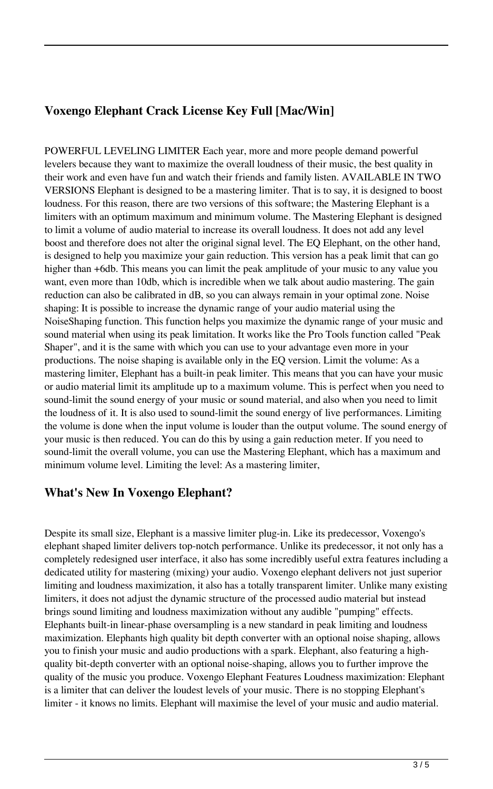# **Voxengo Elephant Crack License Key Full [Mac/Win]**

POWERFUL LEVELING LIMITER Each year, more and more people demand powerful levelers because they want to maximize the overall loudness of their music, the best quality in their work and even have fun and watch their friends and family listen. AVAILABLE IN TWO VERSIONS Elephant is designed to be a mastering limiter. That is to say, it is designed to boost loudness. For this reason, there are two versions of this software; the Mastering Elephant is a limiters with an optimum maximum and minimum volume. The Mastering Elephant is designed to limit a volume of audio material to increase its overall loudness. It does not add any level boost and therefore does not alter the original signal level. The EQ Elephant, on the other hand, is designed to help you maximize your gain reduction. This version has a peak limit that can go higher than +6db. This means you can limit the peak amplitude of your music to any value you want, even more than 10db, which is incredible when we talk about audio mastering. The gain reduction can also be calibrated in dB, so you can always remain in your optimal zone. Noise shaping: It is possible to increase the dynamic range of your audio material using the NoiseShaping function. This function helps you maximize the dynamic range of your music and sound material when using its peak limitation. It works like the Pro Tools function called "Peak Shaper", and it is the same with which you can use to your advantage even more in your productions. The noise shaping is available only in the EQ version. Limit the volume: As a mastering limiter, Elephant has a built-in peak limiter. This means that you can have your music or audio material limit its amplitude up to a maximum volume. This is perfect when you need to sound-limit the sound energy of your music or sound material, and also when you need to limit the loudness of it. It is also used to sound-limit the sound energy of live performances. Limiting the volume is done when the input volume is louder than the output volume. The sound energy of your music is then reduced. You can do this by using a gain reduction meter. If you need to sound-limit the overall volume, you can use the Mastering Elephant, which has a maximum and minimum volume level. Limiting the level: As a mastering limiter,

### **What's New In Voxengo Elephant?**

Despite its small size, Elephant is a massive limiter plug-in. Like its predecessor, Voxengo's elephant shaped limiter delivers top-notch performance. Unlike its predecessor, it not only has a completely redesigned user interface, it also has some incredibly useful extra features including a dedicated utility for mastering (mixing) your audio. Voxengo elephant delivers not just superior limiting and loudness maximization, it also has a totally transparent limiter. Unlike many existing limiters, it does not adjust the dynamic structure of the processed audio material but instead brings sound limiting and loudness maximization without any audible "pumping" effects. Elephants built-in linear-phase oversampling is a new standard in peak limiting and loudness maximization. Elephants high quality bit depth converter with an optional noise shaping, allows you to finish your music and audio productions with a spark. Elephant, also featuring a highquality bit-depth converter with an optional noise-shaping, allows you to further improve the quality of the music you produce. Voxengo Elephant Features Loudness maximization: Elephant is a limiter that can deliver the loudest levels of your music. There is no stopping Elephant's limiter - it knows no limits. Elephant will maximise the level of your music and audio material.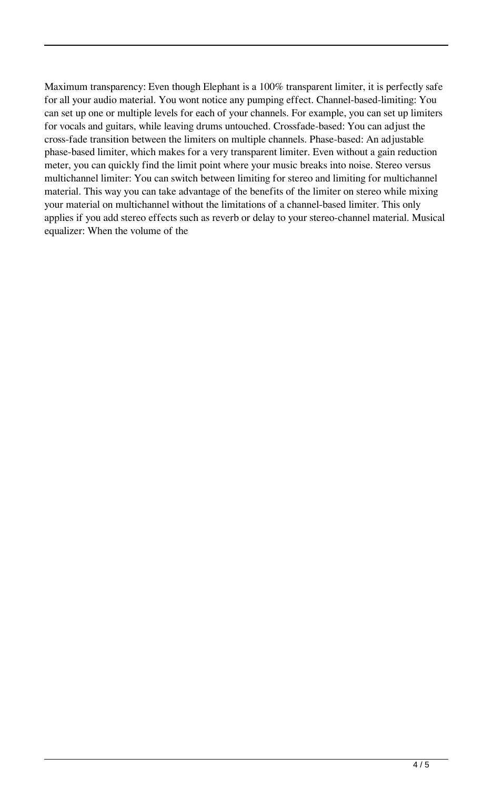Maximum transparency: Even though Elephant is a 100% transparent limiter, it is perfectly safe for all your audio material. You wont notice any pumping effect. Channel-based-limiting: You can set up one or multiple levels for each of your channels. For example, you can set up limiters for vocals and guitars, while leaving drums untouched. Crossfade-based: You can adjust the cross-fade transition between the limiters on multiple channels. Phase-based: An adjustable phase-based limiter, which makes for a very transparent limiter. Even without a gain reduction meter, you can quickly find the limit point where your music breaks into noise. Stereo versus multichannel limiter: You can switch between limiting for stereo and limiting for multichannel material. This way you can take advantage of the benefits of the limiter on stereo while mixing your material on multichannel without the limitations of a channel-based limiter. This only applies if you add stereo effects such as reverb or delay to your stereo-channel material. Musical equalizer: When the volume of the